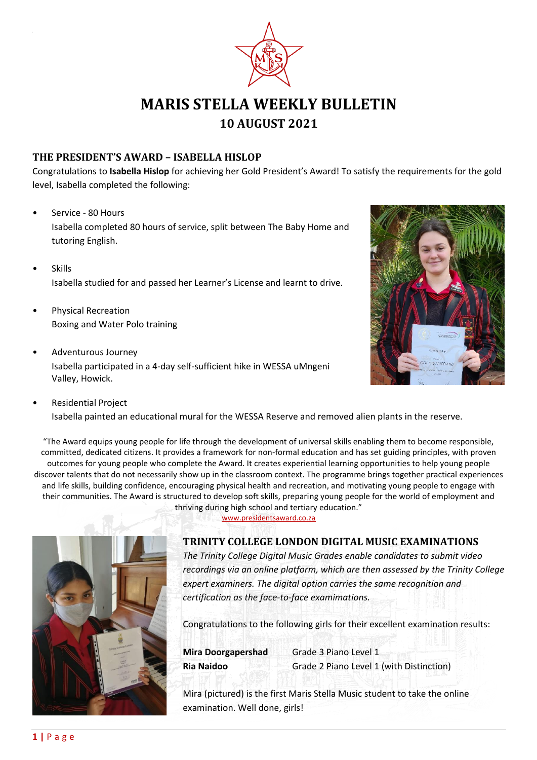

# **MARIS STELLA WEEKLY BULLETIN 10 AUGUST 2021**

## **THE PRESIDENT'S AWARD – ISABELLA HISLOP**

Congratulations to **Isabella Hislop** for achieving her Gold President's Award! To satisfy the requirements for the gold level, Isabella completed the following:

- Service 80 Hours Isabella completed 80 hours of service, split between The Baby Home and tutoring English.
- **Skills** Isabella studied for and passed her Learner's License and learnt to drive.
- Physical Recreation Boxing and Water Polo training
- Adventurous Journey Isabella participated in a 4-day self-sufficient hike in WESSA uMngeni Valley, Howick.



• Residential Project Isabella painted an educational mural for the WESSA Reserve and removed alien plants in the reserve.

"The Award equips young people for life through the development of universal skills enabling them to become responsible, committed, dedicated citizens. It provides a framework for non-formal education and has set guiding principles, with proven outcomes for young people who complete the Award. It creates experiential learning opportunities to help young people discover talents that do not necessarily show up in the classroom context. The programme brings together practical experiences and life skills, building confidence, encouraging physical health and recreation, and motivating young people to engage with their communities. The Award is structured to develop soft skills, preparing young people for the world of employment and thriving during high school and tertiary education."



[www.presidentsaward.co.za](http://www.presidentsaward.co.za/)

#### **TRINITY COLLEGE LONDON DIGITAL MUSIC EXAMINATIONS**

*The Trinity College Digital Music Grades enable candidates to submit video recordings via an online platform, which are then assessed by the Trinity College expert examiners. The digital option carries the same recognition and certification as the face-to-face examimations.* 

Congratulations to the following girls for their excellent examination results:

**Mira Doorgapershad** Grade 3 Piano Level 1 **Ria Naidoo** Grade 2 Piano Level 1 (with Distinction)

Mira (pictured) is the first Maris Stella Music student to take the online examination. Well done, girls!